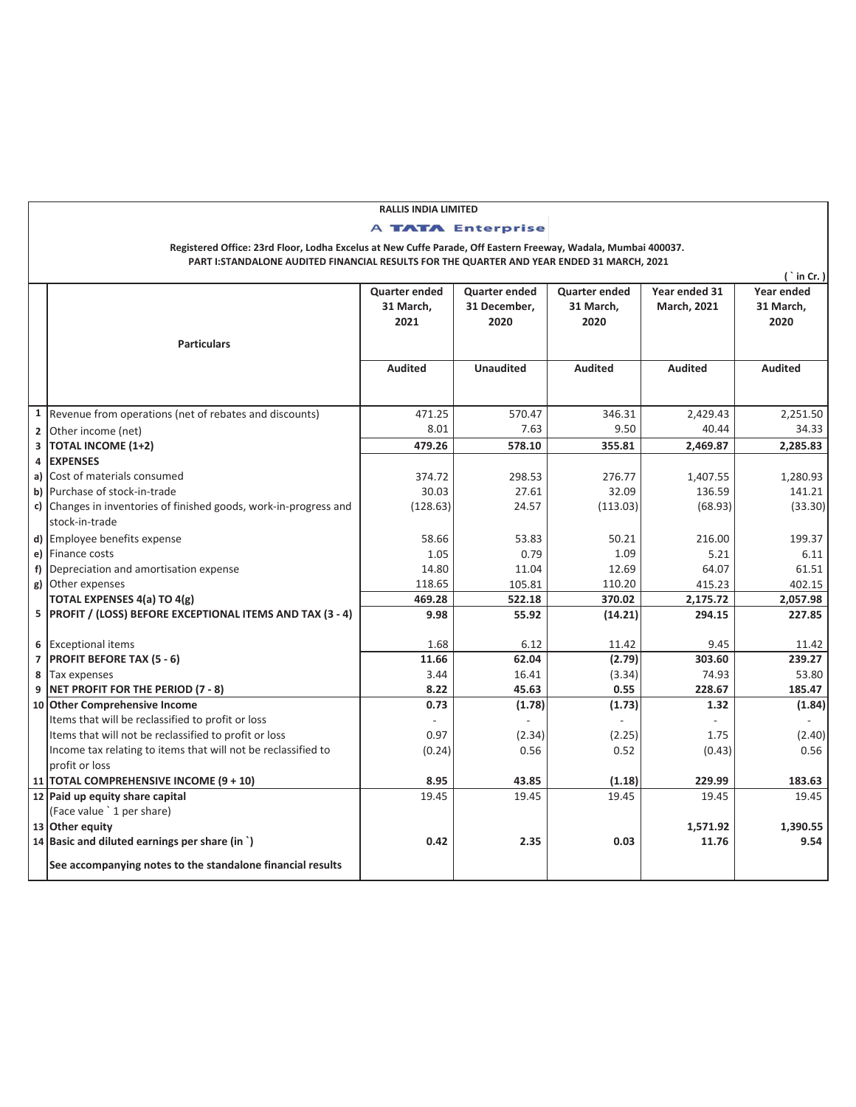## **RALLIS INDIA LIMITED**

## **A TATA Enterprise**

**Registered Office: 23rd Floor, Lodha Excelus at New Cuffe Parade, Off Eastern Freeway, Wadala, Mumbai 400037. PART I:STANDALONE AUDITED FINANCIAL RESULTS FOR THE QUARTER AND YEAR ENDED 31 MARCH, 2021**

|   |                                                                   |                      |                      |                      |                    | ('in Cr.)      |
|---|-------------------------------------------------------------------|----------------------|----------------------|----------------------|--------------------|----------------|
|   |                                                                   | <b>Quarter ended</b> | <b>Quarter ended</b> | <b>Quarter ended</b> | Year ended 31      | Year ended     |
|   |                                                                   | 31 March,            | 31 December.         | 31 March.            | <b>March, 2021</b> | 31 March.      |
|   |                                                                   | 2021                 | 2020                 | 2020                 |                    | 2020           |
|   | <b>Particulars</b>                                                |                      |                      |                      |                    |                |
|   |                                                                   | <b>Audited</b>       | <b>Unaudited</b>     | <b>Audited</b>       | <b>Audited</b>     | <b>Audited</b> |
|   |                                                                   |                      |                      |                      |                    |                |
|   |                                                                   |                      |                      |                      |                    |                |
|   | 1 Revenue from operations (net of rebates and discounts)          | 471.25               | 570.47               | 346.31               | 2,429.43           | 2,251.50       |
|   | 2 Other income (net)                                              | 8.01                 | 7.63                 | 9.50                 | 40.44              | 34.33          |
| 3 | <b>TOTAL INCOME (1+2)</b>                                         | 479.26               | 578.10               | 355.81               | 2,469.87           | 2,285.83       |
| 4 | <b>EXPENSES</b>                                                   |                      |                      |                      |                    |                |
|   | a) Cost of materials consumed                                     | 374.72               | 298.53               | 276.77               | 1,407.55           | 1,280.93       |
|   | b) Purchase of stock-in-trade                                     | 30.03                | 27.61                | 32.09                | 136.59             | 141.21         |
|   | c) Changes in inventories of finished goods, work-in-progress and | (128.63)             | 24.57                | (113.03)             | (68.93)            | (33.30)        |
|   | stock-in-trade                                                    |                      |                      |                      |                    |                |
|   | d) Employee benefits expense                                      | 58.66                | 53.83                | 50.21                | 216.00             | 199.37         |
|   | e) Finance costs                                                  | 1.05                 | 0.79                 | 1.09                 | 5.21               | 6.11           |
|   | f) Depreciation and amortisation expense                          | 14.80                | 11.04                | 12.69                | 64.07              | 61.51          |
|   | g) Other expenses                                                 | 118.65               | 105.81               | 110.20               | 415.23             | 402.15         |
|   | TOTAL EXPENSES 4(a) TO 4(g)                                       | 469.28               | 522.18               | 370.02               | 2,175.72           | 2,057.98       |
|   | 5   PROFIT / (LOSS) BEFORE EXCEPTIONAL ITEMS AND TAX (3 - 4)      | 9.98                 | 55.92                | (14.21)              | 294.15             | 227.85         |
|   | 6 Exceptional items                                               | 1.68                 | 6.12                 | 11.42                | 9.45               | 11.42          |
|   | 7 PROFIT BEFORE TAX (5 - 6)                                       | 11.66                | 62.04                | (2.79)               | 303.60             | 239.27         |
| 8 | Tax expenses                                                      | 3.44                 | 16.41                | (3.34)               | 74.93              | 53.80          |
| 9 | NET PROFIT FOR THE PERIOD (7 - 8)                                 | 8.22                 | 45.63                | 0.55                 | 228.67             | 185.47         |
|   | 10 Other Comprehensive Income                                     | 0.73                 | (1.78)               | (1.73)               | 1.32               | (1.84)         |
|   | Items that will be reclassified to profit or loss                 |                      |                      |                      |                    |                |
|   | Items that will not be reclassified to profit or loss             | 0.97                 | (2.34)               | (2.25)               | 1.75               | (2.40)         |
|   | Income tax relating to items that will not be reclassified to     | (0.24)               | 0.56                 | 0.52                 | (0.43)             | 0.56           |
|   | profit or loss                                                    |                      |                      |                      |                    |                |
|   | 11 TOTAL COMPREHENSIVE INCOME (9 + 10)                            | 8.95                 | 43.85                | (1.18)               | 229.99             | 183.63         |
|   | 12 Paid up equity share capital                                   | 19.45                | 19.45                | 19.45                | 19.45              | 19.45          |
|   | (Face value ` 1 per share)                                        |                      |                      |                      |                    |                |
|   | 13 Other equity                                                   |                      |                      |                      | 1,571.92           | 1,390.55       |
|   | 14 Basic and diluted earnings per share (in `)                    | 0.42                 | 2.35                 | 0.03                 | 11.76              | 9.54           |
|   | See accompanying notes to the standalone financial results        |                      |                      |                      |                    |                |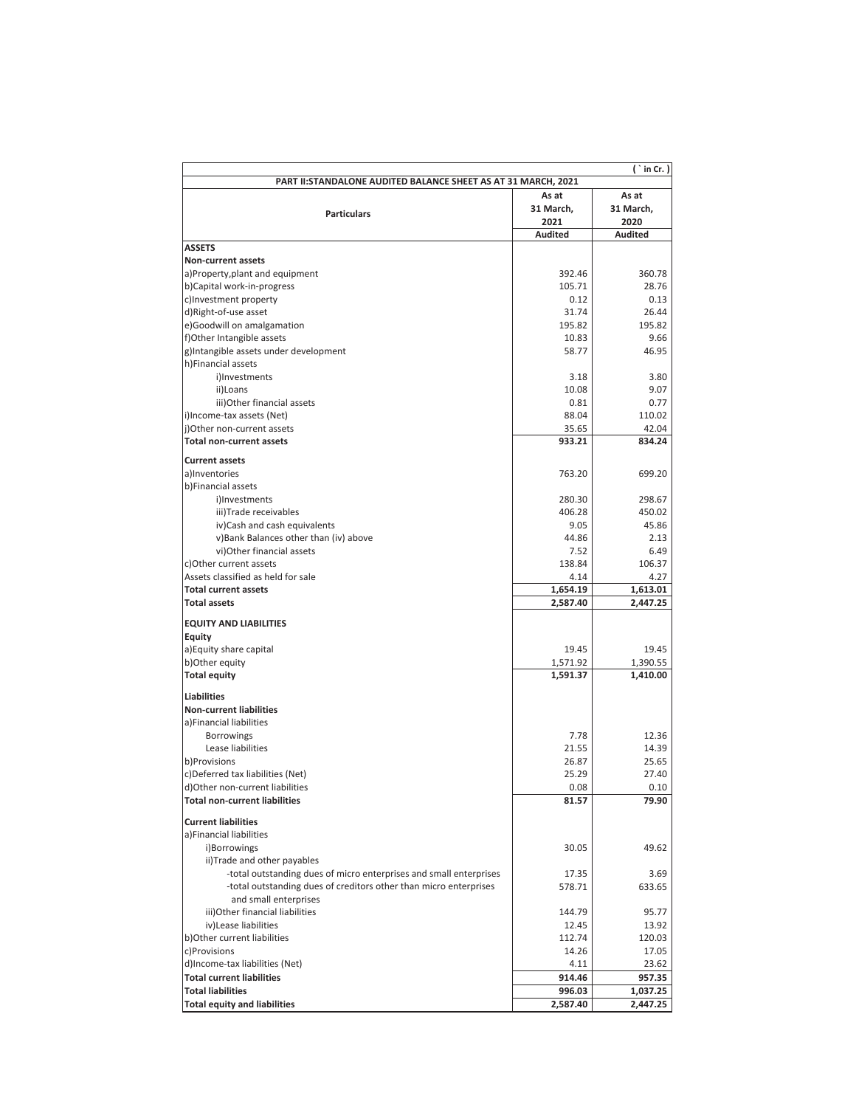|                                                                    |                | in $Cr.$       |  |  |  |
|--------------------------------------------------------------------|----------------|----------------|--|--|--|
| PART II: STANDALONE AUDITED BALANCE SHEET AS AT 31 MARCH, 2021     |                |                |  |  |  |
|                                                                    | As at          | As at          |  |  |  |
| <b>Particulars</b>                                                 | 31 March,      | 31 March,      |  |  |  |
|                                                                    | 2021           | 2020           |  |  |  |
|                                                                    | <b>Audited</b> | <b>Audited</b> |  |  |  |
| <b>ASSETS</b>                                                      |                |                |  |  |  |
| Non-current assets                                                 |                |                |  |  |  |
| a)Property, plant and equipment                                    | 392.46         | 360.78         |  |  |  |
| b)Capital work-in-progress                                         | 105.71         | 28.76          |  |  |  |
| c)Investment property                                              | 0.12           | 0.13           |  |  |  |
| d) Right-of-use asset                                              | 31.74          | 26.44          |  |  |  |
| e)Goodwill on amalgamation                                         | 195.82         | 195.82         |  |  |  |
| f)Other Intangible assets                                          | 10.83          | 9.66           |  |  |  |
| g)Intangible assets under development                              | 58.77          | 46.95          |  |  |  |
| h)Financial assets                                                 |                |                |  |  |  |
| i)Investments                                                      | 3.18           | 3.80           |  |  |  |
| ii)Loans                                                           | 10.08          | 9.07           |  |  |  |
| iii)Other financial assets                                         | 0.81           | 0.77           |  |  |  |
| i)Income-tax assets (Net)                                          | 88.04          | 110.02         |  |  |  |
| j)Other non-current assets                                         | 35.65          | 42.04          |  |  |  |
| <b>Total non-current assets</b>                                    | 933.21         | 834.24         |  |  |  |
|                                                                    |                |                |  |  |  |
| <b>Current assets</b>                                              |                |                |  |  |  |
| a)Inventories                                                      | 763.20         | 699.20         |  |  |  |
| b)Financial assets                                                 |                |                |  |  |  |
| <i>illnvestments</i>                                               | 280.30         | 298.67         |  |  |  |
| iii)Trade receivables                                              | 406.28         | 450.02         |  |  |  |
| iv) Cash and cash equivalents                                      | 9.05           | 45.86          |  |  |  |
| v) Bank Balances other than (iv) above                             | 44.86          | 2.13           |  |  |  |
| vi) Other financial assets                                         | 7.52           | 6.49           |  |  |  |
| c)Other current assets                                             | 138.84         | 106.37         |  |  |  |
| Assets classified as held for sale                                 | 4.14           | 4.27           |  |  |  |
| <b>Total current assets</b>                                        | 1,654.19       | 1,613.01       |  |  |  |
| <b>Total assets</b>                                                | 2,587.40       | 2,447.25       |  |  |  |
| <b>EQUITY AND LIABILITIES</b>                                      |                |                |  |  |  |
| <b>Equity</b>                                                      |                |                |  |  |  |
| a) Equity share capital                                            | 19.45          | 19.45          |  |  |  |
| b) Other equity                                                    | 1,571.92       | 1,390.55       |  |  |  |
| <b>Total equity</b>                                                | 1,591.37       | 1,410.00       |  |  |  |
|                                                                    |                |                |  |  |  |
| <b>Liabilities</b>                                                 |                |                |  |  |  |
| <b>Non-current liabilities</b>                                     |                |                |  |  |  |
| a) Financial liabilities                                           |                |                |  |  |  |
| <b>Borrowings</b>                                                  | 7.78           | 12.36          |  |  |  |
| Lease liabilities                                                  | 21.55          | 14.39          |  |  |  |
| b)Provisions                                                       | 26.87          | 25.65          |  |  |  |
| c)Deferred tax liabilities (Net)                                   | 25.29          | 27.40          |  |  |  |
| d) Other non-current liabilities                                   | 0.08           | 0.10           |  |  |  |
| <b>Total non-current liabilities</b>                               | 81.57          | 79.90          |  |  |  |
|                                                                    |                |                |  |  |  |
| <b>Current liabilities</b>                                         |                |                |  |  |  |
| a)Financial liabilities                                            |                |                |  |  |  |
| i)Borrowings                                                       | 30.05          | 49.62          |  |  |  |
| ii)Trade and other payables                                        |                |                |  |  |  |
| -total outstanding dues of micro enterprises and small enterprises | 17.35          | 3.69           |  |  |  |
| -total outstanding dues of creditors other than micro enterprises  | 578.71         | 633.65         |  |  |  |
| and small enterprises                                              |                |                |  |  |  |
| iii) Other financial liabilities                                   | 144.79         | 95.77          |  |  |  |
| iv) Lease liabilities                                              | 12.45          | 13.92          |  |  |  |
| b) Other current liabilities                                       | 112.74         | 120.03         |  |  |  |
| c)Provisions                                                       | 14.26          | 17.05          |  |  |  |
| d)Income-tax liabilities (Net)                                     | 4.11           | 23.62          |  |  |  |
| <b>Total current liabilities</b>                                   | 914.46         | 957.35         |  |  |  |
| <b>Total liabilities</b>                                           | 996.03         | 1,037.25       |  |  |  |
| <b>Total equity and liabilities</b>                                | 2,587.40       | 2,447.25       |  |  |  |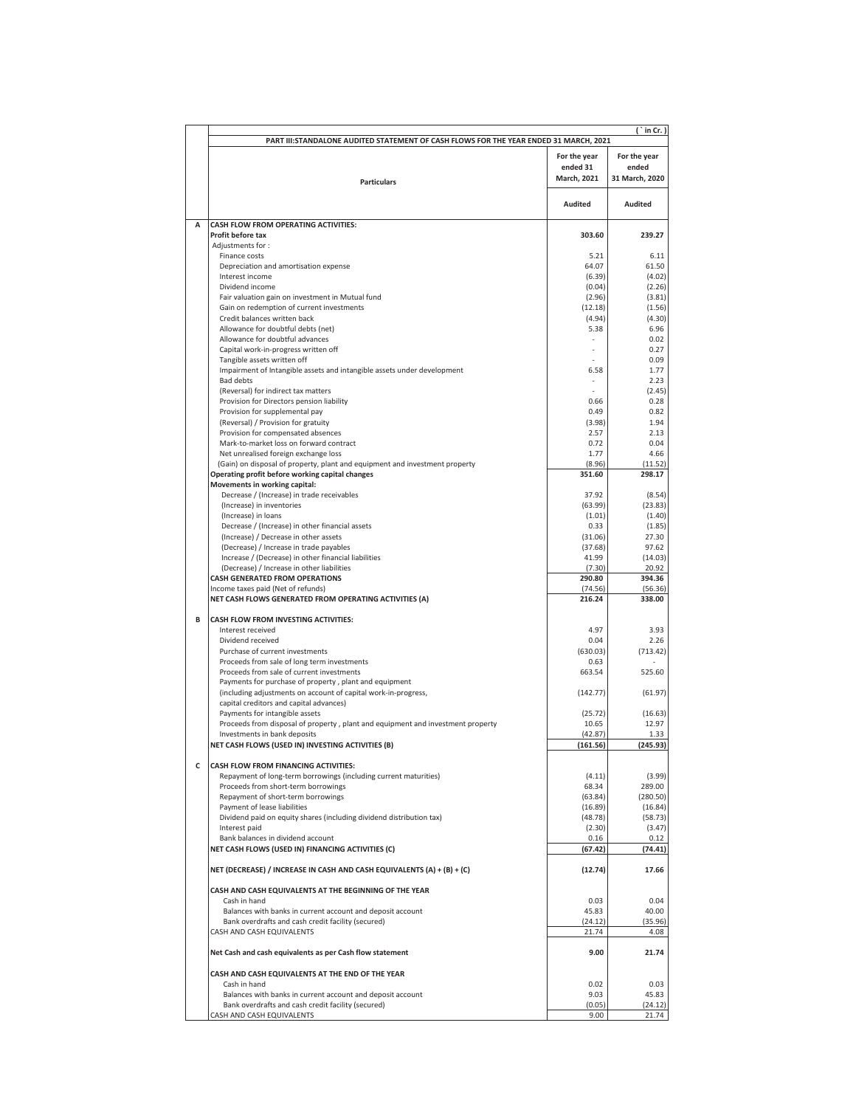|   |                                                                                                                                |                          | in Cr. )              |
|---|--------------------------------------------------------------------------------------------------------------------------------|--------------------------|-----------------------|
|   | PART III: STANDALONE AUDITED STATEMENT OF CASH FLOWS FOR THE YEAR ENDED 31 MARCH, 2021                                         |                          |                       |
|   |                                                                                                                                | For the year<br>ended 31 | For the year<br>ended |
|   | <b>Particulars</b>                                                                                                             | March, 2021              | 31 March, 2020        |
|   |                                                                                                                                |                          |                       |
|   |                                                                                                                                | <b>Audited</b>           | Audited               |
| А | CASH FLOW FROM OPERATING ACTIVITIES:                                                                                           |                          |                       |
|   | Profit before tax<br>Adjustments for:                                                                                          | 303.60                   | 239.27                |
|   | Finance costs                                                                                                                  | 5.21                     | 6.11                  |
|   | Depreciation and amortisation expense                                                                                          | 64.07                    | 61.50                 |
|   | Interest income<br>Dividend income                                                                                             | (6.39)<br>(0.04)         | (4.02)<br>(2.26)      |
|   | Fair valuation gain on investment in Mutual fund                                                                               | (2.96)                   | (3.81)                |
|   | Gain on redemption of current investments                                                                                      | (12.18)                  | (1.56)                |
|   | Credit balances written back<br>Allowance for doubtful debts (net)                                                             | (4.94)<br>5.38           | (4.30)<br>6.96        |
|   | Allowance for doubtful advances                                                                                                |                          | 0.02                  |
|   | Capital work-in-progress written off                                                                                           |                          | 0.27                  |
|   | Tangible assets written off                                                                                                    |                          | 0.09                  |
|   | Impairment of Intangible assets and intangible assets under development<br><b>Bad debts</b>                                    | 6.58                     | 1.77<br>2.23          |
|   | (Reversal) for indirect tax matters                                                                                            |                          | (2.45)                |
|   | Provision for Directors pension liability                                                                                      | 0.66                     | 0.28                  |
|   | Provision for supplemental pay<br>(Reversal) / Provision for gratuity                                                          | 0.49<br>(3.98)           | 0.82<br>1.94          |
|   | Provision for compensated absences                                                                                             | 2.57                     | 2.13                  |
|   | Mark-to-market loss on forward contract                                                                                        | 0.72                     | 0.04                  |
|   | Net unrealised foreign exchange loss                                                                                           | 1.77<br>(8.96)           | 4.66                  |
|   | (Gain) on disposal of property, plant and equipment and investment property<br>Operating profit before working capital changes | 351.60                   | (11.52)<br>298.17     |
|   | Movements in working capital:                                                                                                  |                          |                       |
|   | Decrease / (Increase) in trade receivables                                                                                     | 37.92                    | (8.54)                |
|   | (Increase) in inventories<br>(Increase) in loans                                                                               | (63.99)<br>(1.01)        | (23.83)<br>(1.40)     |
|   | Decrease / (Increase) in other financial assets                                                                                | 0.33                     | (1.85)                |
|   | (Increase) / Decrease in other assets                                                                                          | (31.06)                  | 27.30                 |
|   | (Decrease) / Increase in trade payables<br>Increase / (Decrease) in other financial liabilities                                | (37.68)<br>41.99         | 97.62<br>(14.03)      |
|   | (Decrease) / Increase in other liabilities                                                                                     | (7.30)                   | 20.92                 |
|   | <b>CASH GENERATED FROM OPERATIONS</b>                                                                                          | 290.80                   | 394.36                |
|   | Income taxes paid (Net of refunds)<br>NET CASH FLOWS GENERATED FROM OPERATING ACTIVITIES (A)                                   | (74.56)<br>216.24        | (56.36)<br>338.00     |
|   |                                                                                                                                |                          |                       |
| в | CASH FLOW FROM INVESTING ACTIVITIES:<br>Interest received                                                                      | 4.97                     | 3.93                  |
|   | Dividend received                                                                                                              | 0.04                     | 2.26                  |
|   | Purchase of current investments                                                                                                | (630.03)                 | (713.42)              |
|   | Proceeds from sale of long term investments<br>Proceeds from sale of current investments                                       | 0.63<br>663.54           | 525.60                |
|   | Payments for purchase of property, plant and equipment                                                                         |                          |                       |
|   | (including adjustments on account of capital work-in-progress,                                                                 | (142.77)                 | (61.97)               |
|   | capital creditors and capital advances)                                                                                        |                          |                       |
|   | Payments for intangible assets<br>Proceeds from disposal of property, plant and equipment and investment property              | (25.72)<br>10.65         | (16.63)<br>12.97      |
|   | Investments in bank deposits                                                                                                   | (42.87)                  | 1.33                  |
|   | NET CASH FLOWS (USED IN) INVESTING ACTIVITIES (B)                                                                              | (161.56)                 | (245.93)              |
| с | <b>CASH FLOW FROM FINANCING ACTIVITIES:</b>                                                                                    |                          |                       |
|   | Repayment of long-term borrowings (including current maturities)                                                               | (4.11)                   | (3.99)                |
|   | Proceeds from short-term borrowings                                                                                            | 68.34                    | 289.00                |
|   | Repayment of short-term borrowings<br>Payment of lease liabilities                                                             | (63.84)<br>(16.89)       | (280.50)<br>(16.84)   |
|   | Dividend paid on equity shares (including dividend distribution tax)                                                           | (48.78)                  | (58.73)               |
|   | Interest paid                                                                                                                  | (2.30)                   | (3.47)                |
|   | Bank balances in dividend account<br>NET CASH FLOWS (USED IN) FINANCING ACTIVITIES (C)                                         | 0.16<br>(67.42)          | 0.12<br>(74.41)       |
|   | NET (DECREASE) / INCREASE IN CASH AND CASH EQUIVALENTS (A) + (B) + (C)                                                         | (12.74)                  | 17.66                 |
|   |                                                                                                                                |                          |                       |
|   | CASH AND CASH EQUIVALENTS AT THE BEGINNING OF THE YEAR<br>Cash in hand                                                         | 0.03                     | 0.04                  |
|   | Balances with banks in current account and deposit account                                                                     | 45.83                    | 40.00                 |
|   | Bank overdrafts and cash credit facility (secured)                                                                             | (24.12)                  | (35.96)               |
|   | CASH AND CASH EQUIVALENTS                                                                                                      | 21.74                    | 4.08                  |
|   | Net Cash and cash equivalents as per Cash flow statement                                                                       | 9.00                     | 21.74                 |
|   | CASH AND CASH EQUIVALENTS AT THE END OF THE YEAR                                                                               |                          |                       |
|   | Cash in hand                                                                                                                   | 0.02                     | 0.03                  |
|   | Balances with banks in current account and deposit account<br>Bank overdrafts and cash credit facility (secured)               | 9.03<br>(0.05)           | 45.83<br>(24.12)      |
|   | CASH AND CASH EQUIVALENTS                                                                                                      | 9.00                     | 21.74                 |